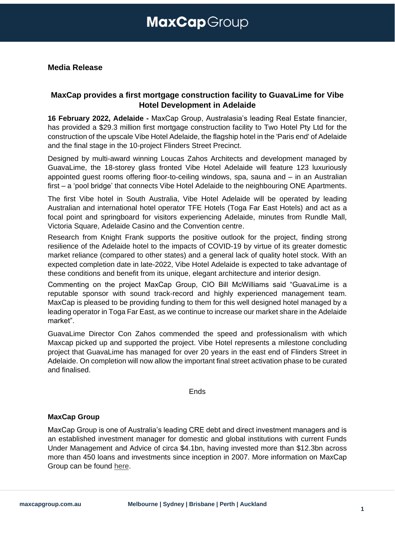#### **Media Release**

### **MaxCap provides a first mortgage construction facility to GuavaLime for Vibe Hotel Development in Adelaide**

**16 February 2022, Adelaide -** MaxCap Group, Australasia's leading Real Estate financier, has provided a \$29.3 million first mortgage construction facility to Two Hotel Pty Ltd for the construction of the upscale Vibe Hotel Adelaide, the flagship hotel in the 'Paris end' of Adelaide and the final stage in the 10-project Flinders Street Precinct.

Designed by multi-award winning Loucas Zahos Architects and development managed by GuavaLime, the 18-storey glass fronted Vibe Hotel Adelaide will feature 123 luxuriously appointed guest rooms offering floor-to-ceiling windows, spa, sauna and – in an Australian first – a 'pool bridge' that connects Vibe Hotel Adelaide to the neighbouring ONE Apartments.

The first Vibe hotel in South Australia, Vibe Hotel Adelaide will be operated by leading Australian and international hotel operator TFE Hotels (Toga Far East Hotels) and act as a focal point and springboard for visitors experiencing Adelaide, minutes from Rundle Mall, Victoria Square, Adelaide Casino and the Convention centre.

Research from Knight Frank supports the positive outlook for the project, finding strong resilience of the Adelaide hotel to the impacts of COVID-19 by virtue of its greater domestic market reliance (compared to other states) and a general lack of quality hotel stock. With an expected completion date in late-2022, Vibe Hotel Adelaide is expected to take advantage of these conditions and benefit from its unique, elegant architecture and interior design.

Commenting on the project MaxCap Group, CIO Bill McWilliams said "GuavaLime is a reputable sponsor with sound track-record and highly experienced management team. MaxCap is pleased to be providing funding to them for this well designed hotel managed by a leading operator in Toga Far East, as we continue to increase our market share in the Adelaide market".

GuavaLime Director Con Zahos commended the speed and professionalism with which Maxcap picked up and supported the project. Vibe Hotel represents a milestone concluding project that GuavaLime has managed for over 20 years in the east end of Flinders Street in Adelaide. On completion will now allow the important final street activation phase to be curated and finalised.

**Ends** 

#### **MaxCap Group**

MaxCap Group is one of Australia's leading CRE debt and direct investment managers and is an established investment manager for domestic and global institutions with current Funds Under Management and Advice of circa \$4.1bn, having invested more than \$12.3bn across more than 450 loans and investments since inception in 2007. More information on MaxCap Group can be found [here.](https://www.maxcapgroup.com.au/)